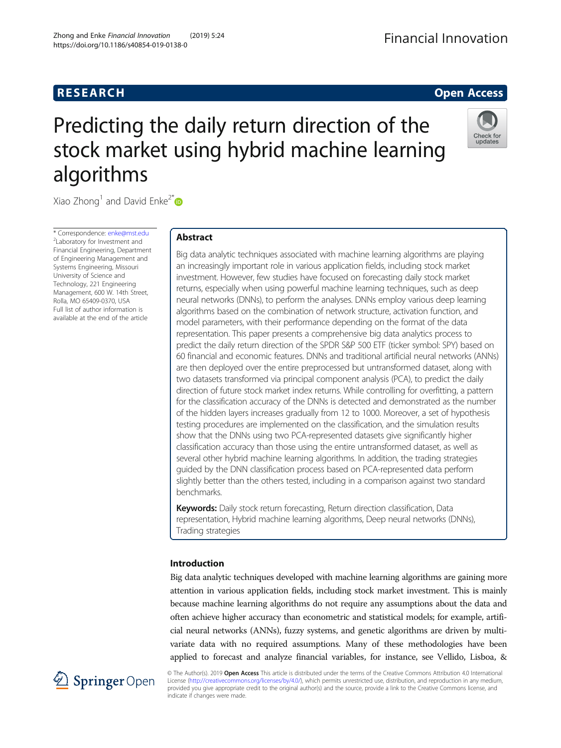# **RESEARCH RESEARCH CONSUMING ACCESS**

# Predicting the daily return direction of the stock market using hybrid machine learning algorithms



Xiao Zhong<sup>1</sup> and David Enke<sup>2[\\*](http://orcid.org/0000-0002-2740-0528)</sup>

\* Correspondence: [enke@mst.edu](mailto:enke@mst.edu) <sup>2</sup> <sup>2</sup>Laboratory for Investment and Financial Engineering, Department of Engineering Management and Systems Engineering, Missouri University of Science and Technology, 221 Engineering Management, 600 W. 14th Street, Rolla, MO 65409-0370, USA Full list of author information is available at the end of the article

# Abstract

Big data analytic techniques associated with machine learning algorithms are playing an increasingly important role in various application fields, including stock market investment. However, few studies have focused on forecasting daily stock market returns, especially when using powerful machine learning techniques, such as deep neural networks (DNNs), to perform the analyses. DNNs employ various deep learning algorithms based on the combination of network structure, activation function, and model parameters, with their performance depending on the format of the data representation. This paper presents a comprehensive big data analytics process to predict the daily return direction of the SPDR S&P 500 ETF (ticker symbol: SPY) based on 60 financial and economic features. DNNs and traditional artificial neural networks (ANNs) are then deployed over the entire preprocessed but untransformed dataset, along with two datasets transformed via principal component analysis (PCA), to predict the daily direction of future stock market index returns. While controlling for overfitting, a pattern for the classification accuracy of the DNNs is detected and demonstrated as the number of the hidden layers increases gradually from 12 to 1000. Moreover, a set of hypothesis testing procedures are implemented on the classification, and the simulation results show that the DNNs using two PCA-represented datasets give significantly higher classification accuracy than those using the entire untransformed dataset, as well as several other hybrid machine learning algorithms. In addition, the trading strategies guided by the DNN classification process based on PCA-represented data perform slightly better than the others tested, including in a comparison against two standard benchmarks.

Keywords: Daily stock return forecasting, Return direction classification, Data representation, Hybrid machine learning algorithms, Deep neural networks (DNNs), Trading strategies

### Introduction

Big data analytic techniques developed with machine learning algorithms are gaining more attention in various application fields, including stock market investment. This is mainly because machine learning algorithms do not require any assumptions about the data and often achieve higher accuracy than econometric and statistical models; for example, artificial neural networks (ANNs), fuzzy systems, and genetic algorithms are driven by multivariate data with no required assumptions. Many of these methodologies have been applied to forecast and analyze financial variables, for instance, see Vellido, Lisboa, &



© The Author(s). 2019 Open Access This article is distributed under the terms of the Creative Commons Attribution 4.0 International License [\(http://creativecommons.org/licenses/by/4.0/](http://creativecommons.org/licenses/by/4.0/)), which permits unrestricted use, distribution, and reproduction in any medium, provided you give appropriate credit to the original author(s) and the source, provide a link to the Creative Commons license, and indicate if changes were made.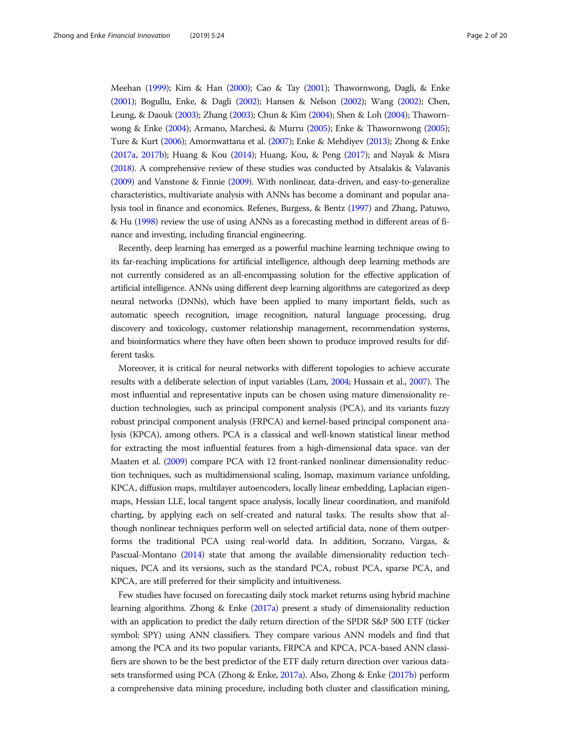Meehan [\(1999](#page-19-0)); Kim & Han ([2000\)](#page-19-0); Cao & Tay ([2001\)](#page-19-0); Thawornwong, Dagli, & Enke ([2001\)](#page-19-0); Bogullu, Enke, & Dagli [\(2002\)](#page-19-0); Hansen & Nelson ([2002\)](#page-19-0); Wang [\(2002](#page-19-0)); Chen, Leung, & Daouk [\(2003\)](#page-19-0); Zhang ([2003\)](#page-19-0); Chun & Kim ([2004\)](#page-19-0); Shen & Loh [\(2004](#page-19-0)); Thawornwong & Enke ([2004\)](#page-19-0); Armano, Marchesi, & Murru ([2005\)](#page-19-0); Enke & Thawornwong [\(2005](#page-19-0)); Ture & Kurt ([2006\)](#page-19-0); Amornwattana et al. ([2007\)](#page-19-0); Enke & Mehdiyev [\(2013](#page-19-0)); Zhong & Enke ([2017a](#page-19-0), [2017b](#page-19-0)); Huang & Kou [\(2014](#page-19-0)); Huang, Kou, & Peng ([2017\)](#page-19-0); and Nayak & Misra ([2018\)](#page-19-0). A comprehensive review of these studies was conducted by Atsalakis & Valavanis ([2009\)](#page-19-0) and Vanstone & Finnie [\(2009](#page-19-0)). With nonlinear, data-driven, and easy-to-generalize characteristics, multivariate analysis with ANNs has become a dominant and popular analysis tool in finance and economics. Refenes, Burgess, & Bentz ([1997\)](#page-19-0) and Zhang, Patuwo, & Hu ([1998\)](#page-19-0) review the use of using ANNs as a forecasting method in different areas of finance and investing, including financial engineering.

Recently, deep learning has emerged as a powerful machine learning technique owing to its far-reaching implications for artificial intelligence, although deep learning methods are not currently considered as an all-encompassing solution for the effective application of artificial intelligence. ANNs using different deep learning algorithms are categorized as deep neural networks (DNNs), which have been applied to many important fields, such as automatic speech recognition, image recognition, natural language processing, drug discovery and toxicology, customer relationship management, recommendation systems, and bioinformatics where they have often been shown to produce improved results for different tasks.

Moreover, it is critical for neural networks with different topologies to achieve accurate results with a deliberate selection of input variables (Lam, [2004](#page-19-0); Hussain et al., [2007\)](#page-19-0). The most influential and representative inputs can be chosen using mature dimensionality reduction technologies, such as principal component analysis (PCA), and its variants fuzzy robust principal component analysis (FRPCA) and kernel-based principal component analysis (KPCA), among others. PCA is a classical and well-known statistical linear method for extracting the most influential features from a high-dimensional data space. van der Maaten et al. [\(2009\)](#page-19-0) compare PCA with 12 front-ranked nonlinear dimensionality reduction techniques, such as multidimensional scaling, Isomap, maximum variance unfolding, KPCA, diffusion maps, multilayer autoencoders, locally linear embedding, Laplacian eigenmaps, Hessian LLE, local tangent space analysis, locally linear coordination, and manifold charting, by applying each on self-created and natural tasks. The results show that although nonlinear techniques perform well on selected artificial data, none of them outperforms the traditional PCA using real-world data. In addition, Sorzano, Vargas, & Pascual-Montano [\(2014](#page-19-0)) state that among the available dimensionality reduction techniques, PCA and its versions, such as the standard PCA, robust PCA, sparse PCA, and KPCA, are still preferred for their simplicity and intuitiveness.

Few studies have focused on forecasting daily stock market returns using hybrid machine learning algorithms. Zhong & Enke [\(2017a\)](#page-19-0) present a study of dimensionality reduction with an application to predict the daily return direction of the SPDR S&P 500 ETF (ticker symbol: SPY) using ANN classifiers. They compare various ANN models and find that among the PCA and its two popular variants, FRPCA and KPCA, PCA-based ANN classifiers are shown to be the best predictor of the ETF daily return direction over various datasets transformed using PCA (Zhong & Enke, [2017a](#page-19-0)). Also, Zhong & Enke ([2017b\)](#page-19-0) perform a comprehensive data mining procedure, including both cluster and classification mining,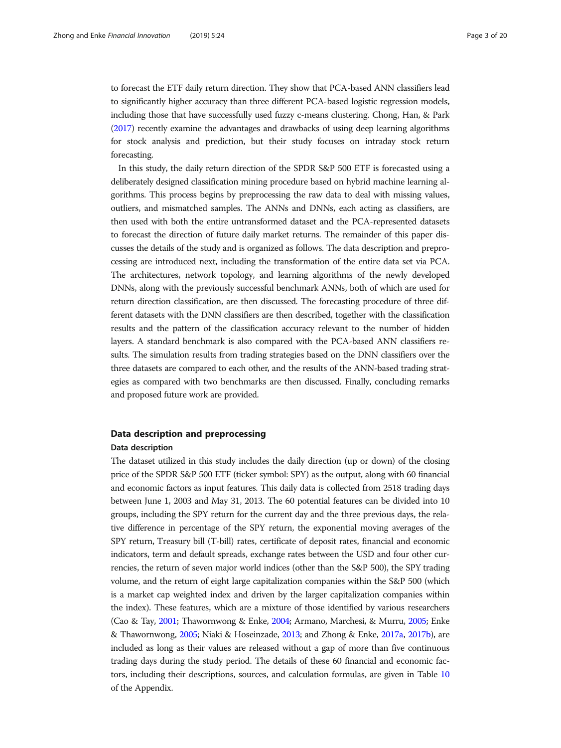to forecast the ETF daily return direction. They show that PCA-based ANN classifiers lead to significantly higher accuracy than three different PCA-based logistic regression models, including those that have successfully used fuzzy c-means clustering. Chong, Han, & Park ([2017\)](#page-19-0) recently examine the advantages and drawbacks of using deep learning algorithms for stock analysis and prediction, but their study focuses on intraday stock return forecasting.

In this study, the daily return direction of the SPDR S&P 500 ETF is forecasted using a deliberately designed classification mining procedure based on hybrid machine learning algorithms. This process begins by preprocessing the raw data to deal with missing values, outliers, and mismatched samples. The ANNs and DNNs, each acting as classifiers, are then used with both the entire untransformed dataset and the PCA-represented datasets to forecast the direction of future daily market returns. The remainder of this paper discusses the details of the study and is organized as follows. The data description and preprocessing are introduced next, including the transformation of the entire data set via PCA. The architectures, network topology, and learning algorithms of the newly developed DNNs, along with the previously successful benchmark ANNs, both of which are used for return direction classification, are then discussed. The forecasting procedure of three different datasets with the DNN classifiers are then described, together with the classification results and the pattern of the classification accuracy relevant to the number of hidden layers. A standard benchmark is also compared with the PCA-based ANN classifiers results. The simulation results from trading strategies based on the DNN classifiers over the three datasets are compared to each other, and the results of the ANN-based trading strategies as compared with two benchmarks are then discussed. Finally, concluding remarks and proposed future work are provided.

## Data description and preprocessing

#### Data description

The dataset utilized in this study includes the daily direction (up or down) of the closing price of the SPDR S&P 500 ETF (ticker symbol: SPY) as the output, along with 60 financial and economic factors as input features. This daily data is collected from 2518 trading days between June 1, 2003 and May 31, 2013. The 60 potential features can be divided into 10 groups, including the SPY return for the current day and the three previous days, the relative difference in percentage of the SPY return, the exponential moving averages of the SPY return, Treasury bill (T-bill) rates, certificate of deposit rates, financial and economic indicators, term and default spreads, exchange rates between the USD and four other currencies, the return of seven major world indices (other than the S&P 500), the SPY trading volume, and the return of eight large capitalization companies within the S&P 500 (which is a market cap weighted index and driven by the larger capitalization companies within the index). These features, which are a mixture of those identified by various researchers (Cao & Tay, [2001;](#page-19-0) Thawornwong & Enke, [2004;](#page-19-0) Armano, Marchesi, & Murru, [2005;](#page-19-0) Enke & Thawornwong, [2005;](#page-19-0) Niaki & Hoseinzade, [2013;](#page-19-0) and Zhong & Enke, [2017a](#page-19-0), [2017b](#page-19-0)), are included as long as their values are released without a gap of more than five continuous trading days during the study period. The details of these 60 financial and economic factors, including their descriptions, sources, and calculation formulas, are given in Table [10](#page-15-0) of the Appendix.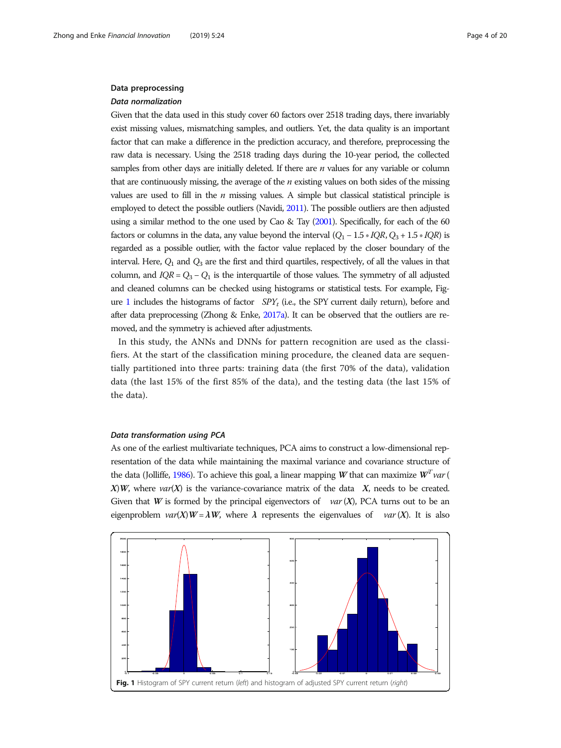#### Data preprocessing

Given that the data used in this study cover 60 factors over 2518 trading days, there invariably exist missing values, mismatching samples, and outliers. Yet, the data quality is an important factor that can make a difference in the prediction accuracy, and therefore, preprocessing the raw data is necessary. Using the 2518 trading days during the 10-year period, the collected samples from other days are initially deleted. If there are  $n$  values for any variable or column that are continuously missing, the average of the  $n$  existing values on both sides of the missing values are used to fill in the  $n$  missing values. A simple but classical statistical principle is employed to detect the possible outliers (Navidi, [2011\)](#page-19-0). The possible outliers are then adjusted using a similar method to the one used by Cao & Tay ([2001](#page-19-0)). Specifically, for each of the 60 factors or columns in the data, any value beyond the interval  $(Q_1 - 1.5 * IQR, Q_3 + 1.5 * IQR)$  is regarded as a possible outlier, with the factor value replaced by the closer boundary of the interval. Here,  $Q_1$  and  $Q_3$  are the first and third quartiles, respectively, of all the values in that column, and  $IQR = Q_3 - Q_1$  is the interquartile of those values. The symmetry of all adjusted and cleaned columns can be checked using histograms or statistical tests. For example, Figure 1 includes the histograms of factor  $SPY_t$  (i.e., the SPY current daily return), before and after data preprocessing (Zhong & Enke, [2017a](#page-19-0)). It can be observed that the outliers are removed, and the symmetry is achieved after adjustments.

In this study, the ANNs and DNNs for pattern recognition are used as the classifiers. At the start of the classification mining procedure, the cleaned data are sequentially partitioned into three parts: training data (the first 70% of the data), validation data (the last 15% of the first 85% of the data), and the testing data (the last 15% of the data).

As one of the earliest multivariate techniques, PCA aims to construct a low-dimensional representation of the data while maintaining the maximal variance and covariance structure of the data (Jolliffe, [1986\)](#page-19-0). To achieve this goal, a linear mapping W that can maximize  $W<sup>T</sup>var$  (  $X$ )W, where var(X) is the variance-covariance matrix of the data X, needs to be created. Given that W is formed by the principal eigenvectors of  $var(X)$ , PCA turns out to be an eigenproblem  $var(X)W = \lambda W$ , where  $\lambda$  represents the eigenvalues of var(X). It is also

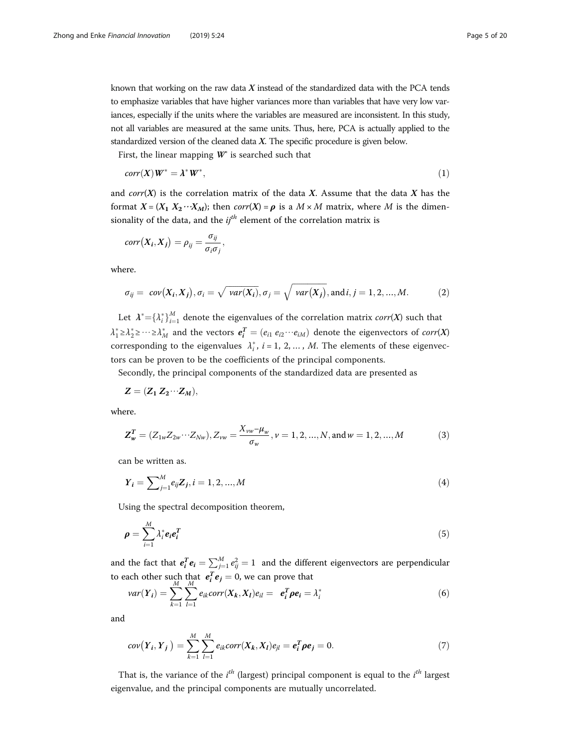known that working on the raw data  $X$  instead of the standardized data with the PCA tends to emphasize variables that have higher variances more than variables that have very low variances, especially if the units where the variables are measured are inconsistent. In this study, not all variables are measured at the same units. Thus, here, PCA is actually applied to the standardized version of the cleaned data  $X$ . The specific procedure is given below.

First, the linear mapping  $W^*$  is searched such that

$$
corr(X)W^* = \lambda^*W^*,\tag{1}
$$

and  $corr(X)$  is the correlation matrix of the data X. Assume that the data X has the format  $X = (X_1 \ X_2 \cdots X_M)$ ; then  $corr(X) = \rho$  is a  $M \times M$  matrix, where M is the dimensionality of the data, and the  $ij<sup>th</sup>$  element of the correlation matrix is

$$
corr(X_i, X_j) = \rho_{ij} = \frac{\sigma_{ij}}{\sigma_i \sigma_j},
$$

where.

$$
\sigma_{ij} = cov(X_i, X_j), \sigma_i = \sqrt{var(X_i)}, \sigma_j = \sqrt{var(X_j)}, \text{and } i, j = 1, 2, ..., M.
$$
 (2)

Let  $\lambda^* = {\lambda_i^*}_{i=1}^M$  denote the eigenvalues of the correlation matrix *corr*(*X*) such that  $\lambda_1^* \ge \lambda_2^* \ge \cdots \ge \lambda_M^*$  and the vectors  $e_i^T = (e_{i1} \ e_{i2} \cdots e_{iM})$  denote the eigenvectors of corr(X) corresponding to the eigenvalues  $\lambda_i^*$ ,  $i = 1, 2, ..., M$ . The elements of these eigenvectors can be proven to be the coefficients of the principal components.

Secondly, the principal components of the standardized data are presented as

$$
Z=(Z_1\,Z_2\cdots Z_M),
$$

where.

$$
\mathbf{Z}_{w}^{T} = (Z_{1w} Z_{2w} \cdots Z_{Nw}), Z_{vw} = \frac{X_{vw} - \mu_w}{\sigma_w}, v = 1, 2, ..., N, \text{and } w = 1, 2, ..., M
$$
 (3)

can be written as.

$$
Y_i = \sum_{j=1}^{M} e_{ij} Z_j, i = 1, 2, ..., M
$$
\n(4)

Using the spectral decomposition theorem,

$$
\rho = \sum_{i=1}^{M} \lambda_i^* e_i e_i^T \tag{5}
$$

and the fact that  $e_i^T e_i = \sum_{j=1}^M e_{ij}^2 = 1$  and the different eigenvectors are perpendicular to each other such that  $e_i^T e_j = 0$ , we can prove that

$$
var(Y_i) = \sum_{k=1}^{m} \sum_{l=1}^{m} e_{ik} corr(X_k, X_l) e_{il} = e_i^T \rho e_i = \lambda_i^*
$$
\n(6)

and

$$
cov(Y_i, Y_j) = \sum_{k=1}^{M} \sum_{l=1}^{M} e_{ik} corr(X_k, X_l) e_{jl} = \boldsymbol{e}_i^T \boldsymbol{\rho} \boldsymbol{e}_j = 0.
$$
 (7)

That is, the variance of the  $i<sup>th</sup>$  (largest) principal component is equal to the  $i<sup>th</sup>$  largest eigenvalue, and the principal components are mutually uncorrelated.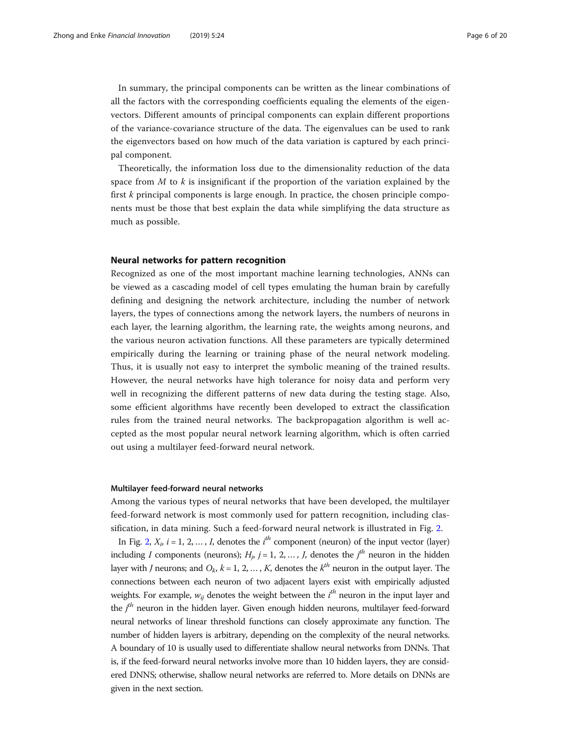In summary, the principal components can be written as the linear combinations of all the factors with the corresponding coefficients equaling the elements of the eigenvectors. Different amounts of principal components can explain different proportions of the variance-covariance structure of the data. The eigenvalues can be used to rank the eigenvectors based on how much of the data variation is captured by each principal component.

Theoretically, the information loss due to the dimensionality reduction of the data space from  $M$  to  $k$  is insignificant if the proportion of the variation explained by the first  $k$  principal components is large enough. In practice, the chosen principle components must be those that best explain the data while simplifying the data structure as much as possible.

#### Neural networks for pattern recognition

Recognized as one of the most important machine learning technologies, ANNs can be viewed as a cascading model of cell types emulating the human brain by carefully defining and designing the network architecture, including the number of network layers, the types of connections among the network layers, the numbers of neurons in each layer, the learning algorithm, the learning rate, the weights among neurons, and the various neuron activation functions. All these parameters are typically determined empirically during the learning or training phase of the neural network modeling. Thus, it is usually not easy to interpret the symbolic meaning of the trained results. However, the neural networks have high tolerance for noisy data and perform very well in recognizing the different patterns of new data during the testing stage. Also, some efficient algorithms have recently been developed to extract the classification rules from the trained neural networks. The backpropagation algorithm is well accepted as the most popular neural network learning algorithm, which is often carried out using a multilayer feed-forward neural network.

### Multilayer feed-forward neural networks

Among the various types of neural networks that have been developed, the multilayer feed-forward network is most commonly used for pattern recognition, including classification, in data mining. Such a feed-forward neural network is illustrated in Fig. [2](#page-6-0).

In Fig. [2,](#page-6-0)  $X_i$ ,  $i = 1, 2, ..., I$ , denotes the  $i<sup>th</sup>$  component (neuron) of the input vector (layer) including *I* components (neurons);  $H_j$ ,  $j = 1, 2, ..., J$ , denotes the  $j^{th}$  neuron in the hidden layer with *J* neurons; and  $O_k$ ,  $k = 1, 2, ..., K$ , denotes the  $k^{th}$  neuron in the output layer. The connections between each neuron of two adjacent layers exist with empirically adjusted weights. For example,  $w_{ij}$  denotes the weight between the  $i^{th}$  neuron in the input layer and the  $j<sup>th</sup>$  neuron in the hidden layer. Given enough hidden neurons, multilayer feed-forward neural networks of linear threshold functions can closely approximate any function. The number of hidden layers is arbitrary, depending on the complexity of the neural networks. A boundary of 10 is usually used to differentiate shallow neural networks from DNNs. That is, if the feed-forward neural networks involve more than 10 hidden layers, they are considered DNNS; otherwise, shallow neural networks are referred to. More details on DNNs are given in the next section.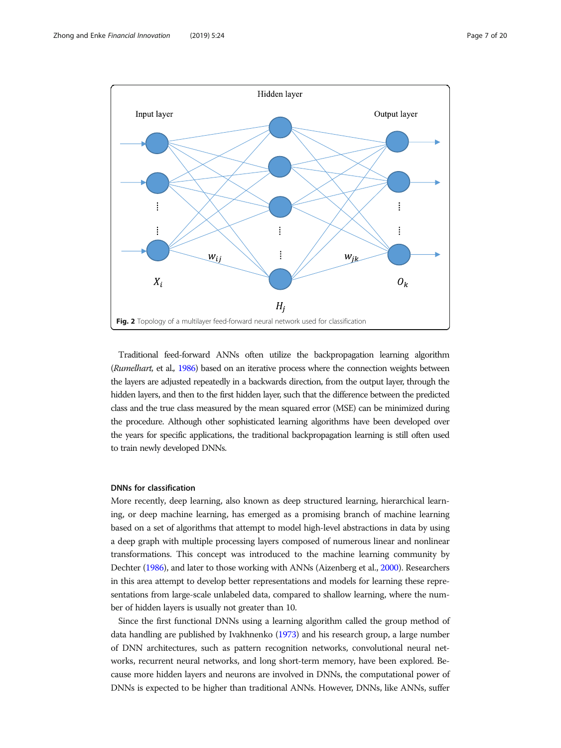<span id="page-6-0"></span>

Traditional feed-forward ANNs often utilize the backpropagation learning algorithm (Rumelhart, et al., [1986](#page-19-0)) based on an iterative process where the connection weights between the layers are adjusted repeatedly in a backwards direction, from the output layer, through the hidden layers, and then to the first hidden layer, such that the difference between the predicted class and the true class measured by the mean squared error (MSE) can be minimized during the procedure. Although other sophisticated learning algorithms have been developed over the years for specific applications, the traditional backpropagation learning is still often used to train newly developed DNNs.

### DNNs for classification

More recently, deep learning, also known as deep structured learning, hierarchical learning, or deep machine learning, has emerged as a promising branch of machine learning based on a set of algorithms that attempt to model high-level abstractions in data by using a deep graph with multiple processing layers composed of numerous linear and nonlinear transformations. This concept was introduced to the machine learning community by Dechter ([1986\)](#page-19-0), and later to those working with ANNs (Aizenberg et al., [2000](#page-19-0)). Researchers in this area attempt to develop better representations and models for learning these representations from large-scale unlabeled data, compared to shallow learning, where the number of hidden layers is usually not greater than 10.

Since the first functional DNNs using a learning algorithm called the group method of data handling are published by Ivakhnenko ([1973\)](#page-19-0) and his research group, a large number of DNN architectures, such as pattern recognition networks, convolutional neural networks, recurrent neural networks, and long short-term memory, have been explored. Because more hidden layers and neurons are involved in DNNs, the computational power of DNNs is expected to be higher than traditional ANNs. However, DNNs, like ANNs, suffer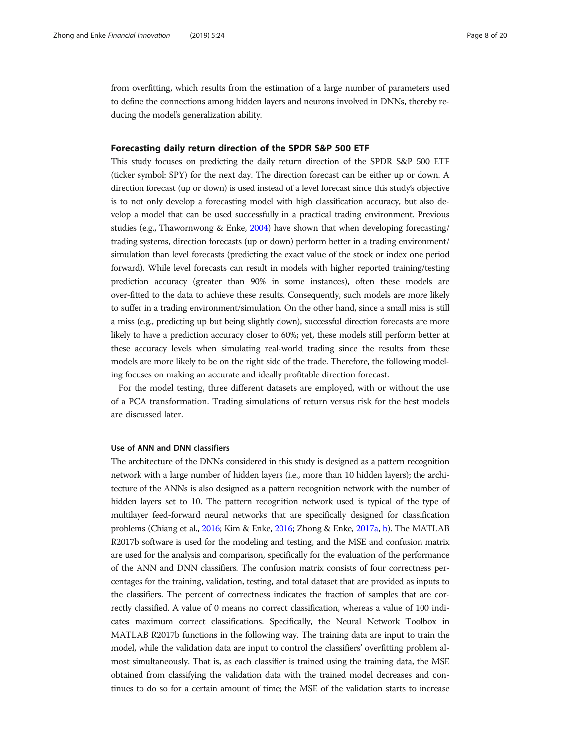from overfitting, which results from the estimation of a large number of parameters used to define the connections among hidden layers and neurons involved in DNNs, thereby reducing the model's generalization ability.

#### Forecasting daily return direction of the SPDR S&P 500 ETF

This study focuses on predicting the daily return direction of the SPDR S&P 500 ETF (ticker symbol: SPY) for the next day. The direction forecast can be either up or down. A direction forecast (up or down) is used instead of a level forecast since this study's objective is to not only develop a forecasting model with high classification accuracy, but also develop a model that can be used successfully in a practical trading environment. Previous studies (e.g., Thawornwong & Enke, [2004](#page-19-0)) have shown that when developing forecasting/ trading systems, direction forecasts (up or down) perform better in a trading environment/ simulation than level forecasts (predicting the exact value of the stock or index one period forward). While level forecasts can result in models with higher reported training/testing prediction accuracy (greater than 90% in some instances), often these models are over-fitted to the data to achieve these results. Consequently, such models are more likely to suffer in a trading environment/simulation. On the other hand, since a small miss is still a miss (e.g., predicting up but being slightly down), successful direction forecasts are more likely to have a prediction accuracy closer to 60%; yet, these models still perform better at these accuracy levels when simulating real-world trading since the results from these models are more likely to be on the right side of the trade. Therefore, the following modeling focuses on making an accurate and ideally profitable direction forecast.

For the model testing, three different datasets are employed, with or without the use of a PCA transformation. Trading simulations of return versus risk for the best models are discussed later.

#### Use of ANN and DNN classifiers

The architecture of the DNNs considered in this study is designed as a pattern recognition network with a large number of hidden layers (i.e., more than 10 hidden layers); the architecture of the ANNs is also designed as a pattern recognition network with the number of hidden layers set to 10. The pattern recognition network used is typical of the type of multilayer feed-forward neural networks that are specifically designed for classification problems (Chiang et al., [2016](#page-19-0); Kim & Enke, [2016;](#page-19-0) Zhong & Enke, [2017a,](#page-19-0) [b](#page-19-0)). The MATLAB R2017b software is used for the modeling and testing, and the MSE and confusion matrix are used for the analysis and comparison, specifically for the evaluation of the performance of the ANN and DNN classifiers. The confusion matrix consists of four correctness percentages for the training, validation, testing, and total dataset that are provided as inputs to the classifiers. The percent of correctness indicates the fraction of samples that are correctly classified. A value of 0 means no correct classification, whereas a value of 100 indicates maximum correct classifications. Specifically, the Neural Network Toolbox in MATLAB R2017b functions in the following way. The training data are input to train the model, while the validation data are input to control the classifiers' overfitting problem almost simultaneously. That is, as each classifier is trained using the training data, the MSE obtained from classifying the validation data with the trained model decreases and continues to do so for a certain amount of time; the MSE of the validation starts to increase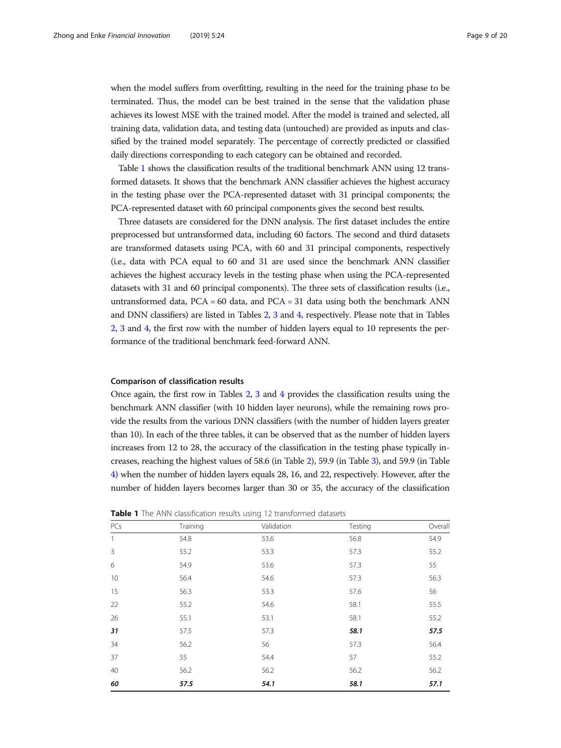when the model suffers from overfitting, resulting in the need for the training phase to be terminated. Thus, the model can be best trained in the sense that the validation phase achieves its lowest MSE with the trained model. After the model is trained and selected, all training data, validation data, and testing data (untouched) are provided as inputs and classified by the trained model separately. The percentage of correctly predicted or classified daily directions corresponding to each category can be obtained and recorded.

Table 1 shows the classification results of the traditional benchmark ANN using 12 transformed datasets. It shows that the benchmark ANN classifier achieves the highest accuracy in the testing phase over the PCA-represented dataset with 31 principal components; the PCA-represented dataset with 60 principal components gives the second best results.

Three datasets are considered for the DNN analysis. The first dataset includes the entire preprocessed but untransformed data, including 60 factors. The second and third datasets are transformed datasets using PCA, with 60 and 31 principal components, respectively (i.e., data with PCA equal to 60 and 31 are used since the benchmark ANN classifier achieves the highest accuracy levels in the testing phase when using the PCA-represented datasets with 31 and 60 principal components). The three sets of classification results (i.e., untransformed data,  $PCA = 60$  data, and  $PCA = 31$  data using both the benchmark ANN and DNN classifiers) are listed in Tables [2](#page-9-0), [3](#page-10-0) and [4](#page-10-0), respectively. Please note that in Tables [2](#page-9-0), [3](#page-10-0) and [4](#page-10-0), the first row with the number of hidden layers equal to 10 represents the performance of the traditional benchmark feed-forward ANN.

### Comparison of classification results

Once again, the first row in Tables [2,](#page-9-0) [3](#page-10-0) and [4](#page-10-0) provides the classification results using the benchmark ANN classifier (with 10 hidden layer neurons), while the remaining rows provide the results from the various DNN classifiers (with the number of hidden layers greater than 10). In each of the three tables, it can be observed that as the number of hidden layers increases from 12 to 28, the accuracy of the classification in the testing phase typically increases, reaching the highest values of 58.6 (in Table [2\)](#page-9-0), 59.9 (in Table [3](#page-10-0)), and 59.9 (in Table [4](#page-10-0)) when the number of hidden layers equals 28, 16, and 22, respectively. However, after the number of hidden layers becomes larger than 30 or 35, the accuracy of the classification

|  | Table 1 The ANN classification results using 12 transformed datasets |  |  |  |
|--|----------------------------------------------------------------------|--|--|--|
|  |                                                                      |  |  |  |

| PCs          | Training | Validation | Testing | Overall |
|--------------|----------|------------|---------|---------|
| $\mathbf{1}$ | 54.8     | 53.6       | 56.8    | 54.9    |
| 3            | 55.2     | 53.3       | 57.3    | 55.2    |
| 6            | 54.9     | 53.6       | 57.3    | 55      |
| 10           | 56.4     | 54.6       | 57.3    | 56.3    |
| 15           | 56.3     | 53.3       | 57.6    | 56      |
| 22           | 55.2     | 54.6       | 58.1    | 55.5    |
| 26           | 55.1     | 53.1       | 58.1    | 55.2    |
| 31           | 57.5     | 57.3       | 58.1    | 57.5    |
| 34           | 56.2     | 56         | 57.3    | 56.4    |
| 37           | 55       | 54.4       | 57      | 55.2    |
| 40           | 56.2     | 56.2       | 56.2    | 56.2    |
| 60           | 57.5     | 54.1       | 58.1    | 57.1    |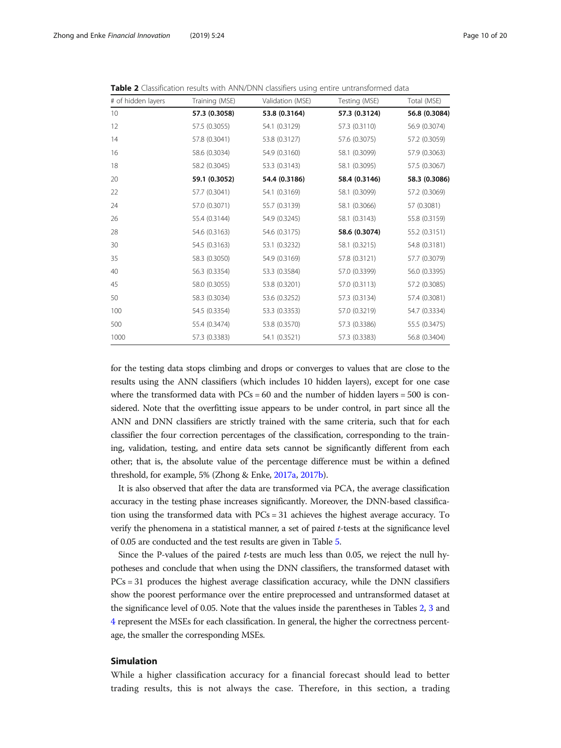| # of hidden layers | Training (MSE) | Validation (MSE) | Testing (MSE) | Total (MSE)   |
|--------------------|----------------|------------------|---------------|---------------|
| 10                 | 57.3 (0.3058)  | 53.8 (0.3164)    | 57.3 (0.3124) | 56.8 (0.3084) |
| 12                 | 57.5 (0.3055)  | 54.1 (0.3129)    | 57.3 (0.3110) | 56.9 (0.3074) |
| 14                 | 57.8 (0.3041)  | 53.8 (0.3127)    | 57.6 (0.3075) | 57.2 (0.3059) |
| 16                 | 58.6 (0.3034)  | 54.9 (0.3160)    | 58.1 (0.3099) | 57.9 (0.3063) |
| 18                 | 58.2 (0.3045)  | 53.3 (0.3143)    | 58.1 (0.3095) | 57.5 (0.3067) |
| 20                 | 59.1 (0.3052)  | 54.4 (0.3186)    | 58.4 (0.3146) | 58.3 (0.3086) |
| 22                 | 57.7 (0.3041)  | 54.1 (0.3169)    | 58.1 (0.3099) | 57.2 (0.3069) |
| 24                 | 57.0 (0.3071)  | 55.7 (0.3139)    | 58.1 (0.3066) | 57 (0.3081)   |
| 26                 | 55.4 (0.3144)  | 54.9 (0.3245)    | 58.1 (0.3143) | 55.8 (0.3159) |
| 28                 | 54.6 (0.3163)  | 54.6 (0.3175)    | 58.6 (0.3074) | 55.2 (0.3151) |
| 30                 | 54.5 (0.3163)  | 53.1 (0.3232)    | 58.1 (0.3215) | 54.8 (0.3181) |
| 35                 | 58.3 (0.3050)  | 54.9 (0.3169)    | 57.8 (0.3121) | 57.7 (0.3079) |
| 40                 | 56.3 (0.3354)  | 53.3 (0.3584)    | 57.0 (0.3399) | 56.0 (0.3395) |
| 45                 | 58.0 (0.3055)  | 53.8 (0.3201)    | 57.0 (0.3113) | 57.2 (0.3085) |
| 50                 | 58.3 (0.3034)  | 53.6 (0.3252)    | 57.3 (0.3134) | 57.4 (0.3081) |
| 100                | 54.5 (0.3354)  | 53.3 (0.3353)    | 57.0 (0.3219) | 54.7 (0.3334) |
| 500                | 55.4 (0.3474)  | 53.8 (0.3570)    | 57.3 (0.3386) | 55.5 (0.3475) |
| 1000               | 57.3 (0.3383)  | 54.1 (0.3521)    | 57.3 (0.3383) | 56.8 (0.3404) |

<span id="page-9-0"></span>**Table 2** Classification results with ANN/DNN classifiers using entire untransformed data

for the testing data stops climbing and drops or converges to values that are close to the results using the ANN classifiers (which includes 10 hidden layers), except for one case where the transformed data with  $PCs = 60$  and the number of hidden layers = 500 is considered. Note that the overfitting issue appears to be under control, in part since all the ANN and DNN classifiers are strictly trained with the same criteria, such that for each classifier the four correction percentages of the classification, corresponding to the training, validation, testing, and entire data sets cannot be significantly different from each other; that is, the absolute value of the percentage difference must be within a defined threshold, for example, 5% (Zhong & Enke, [2017a](#page-19-0), [2017b](#page-19-0)).

It is also observed that after the data are transformed via PCA, the average classification accuracy in the testing phase increases significantly. Moreover, the DNN-based classification using the transformed data with PCs = 31 achieves the highest average accuracy. To verify the phenomena in a statistical manner, a set of paired t-tests at the significance level of 0.05 are conducted and the test results are given in Table [5.](#page-11-0)

Since the P-values of the paired  $t$ -tests are much less than 0.05, we reject the null hypotheses and conclude that when using the DNN classifiers, the transformed dataset with PCs = 31 produces the highest average classification accuracy, while the DNN classifiers show the poorest performance over the entire preprocessed and untransformed dataset at the significance level of 0.05. Note that the values inside the parentheses in Tables 2, [3](#page-10-0) and [4](#page-10-0) represent the MSEs for each classification. In general, the higher the correctness percentage, the smaller the corresponding MSEs.

### Simulation

While a higher classification accuracy for a financial forecast should lead to better trading results, this is not always the case. Therefore, in this section, a trading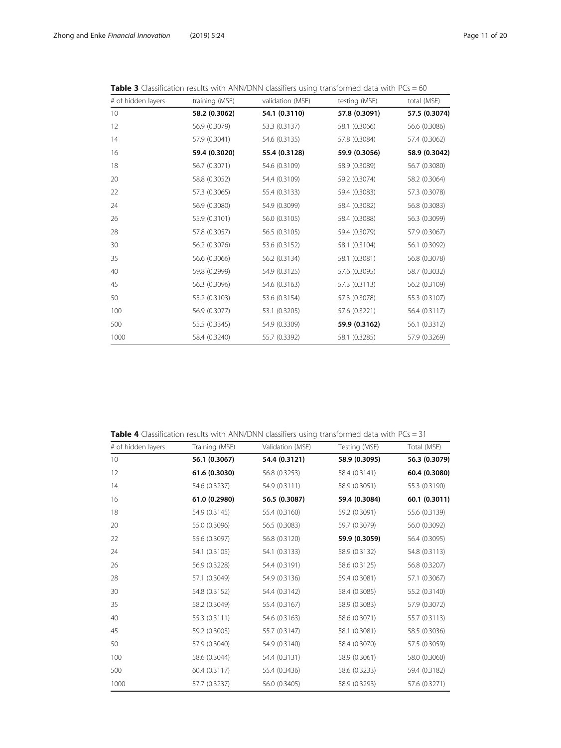| # of hidden layers | training (MSE) | validation (MSE) | testing (MSE) | total (MSE)   |
|--------------------|----------------|------------------|---------------|---------------|
| 10                 | 58.2 (0.3062)  | 54.1 (0.3110)    | 57.8 (0.3091) | 57.5 (0.3074) |
| 12                 | 56.9 (0.3079)  | 53.3 (0.3137)    | 58.1 (0.3066) | 56.6 (0.3086) |
| 14                 | 57.9 (0.3041)  | 54.6 (0.3135)    | 57.8 (0.3084) | 57.4 (0.3062) |
| 16                 | 59.4 (0.3020)  | 55.4 (0.3128)    | 59.9 (0.3056) | 58.9 (0.3042) |
| 18                 | 56.7 (0.3071)  | 54.6 (0.3109)    | 58.9 (0.3089) | 56.7 (0.3080) |
| 20                 | 58.8 (0.3052)  | 54.4 (0.3109)    | 59.2 (0.3074) | 58.2 (0.3064) |
| 22                 | 57.3 (0.3065)  | 55.4 (0.3133)    | 59.4 (0.3083) | 57.3 (0.3078) |
| 24                 | 56.9 (0.3080)  | 54.9 (0.3099)    | 58.4 (0.3082) | 56.8 (0.3083) |
| 26                 | 55.9 (0.3101)  | 56.0 (0.3105)    | 58.4 (0.3088) | 56.3 (0.3099) |
| 28                 | 57.8 (0.3057)  | 56.5 (0.3105)    | 59.4 (0.3079) | 57.9 (0.3067) |
| 30                 | 56.2 (0.3076)  | 53.6 (0.3152)    | 58.1 (0.3104) | 56.1 (0.3092) |
| 35                 | 56.6 (0.3066)  | 56.2 (0.3134)    | 58.1 (0.3081) | 56.8 (0.3078) |
| 40                 | 59.8 (0.2999)  | 54.9 (0.3125)    | 57.6 (0.3095) | 58.7 (0.3032) |
| 45                 | 56.3 (0.3096)  | 54.6 (0.3163)    | 57.3 (0.3113) | 56.2 (0.3109) |
| 50                 | 55.2 (0.3103)  | 53.6 (0.3154)    | 57.3 (0.3078) | 55.3 (0.3107) |
| 100                | 56.9 (0.3077)  | 53.1 (0.3205)    | 57.6 (0.3221) | 56.4 (0.3117) |
| 500                | 55.5 (0.3345)  | 54.9 (0.3309)    | 59.9 (0.3162) | 56.1 (0.3312) |
| 1000               | 58.4 (0.3240)  | 55.7 (0.3392)    | 58.1 (0.3285) | 57.9 (0.3269) |

<span id="page-10-0"></span>**Table 3** Classification results with ANN/DNN classifiers using transformed data with  $PCs = 60$ 

**Table 4** Classification results with ANN/DNN classifiers using transformed data with PCs = 31

| # of hidden layers | Training (MSE) | Validation (MSE) | Testing (MSE) | Total (MSE)   |
|--------------------|----------------|------------------|---------------|---------------|
| 10                 | 56.1 (0.3067)  | 54.4 (0.3121)    | 58.9 (0.3095) | 56.3 (0.3079) |
| 12                 | 61.6 (0.3030)  | 56.8 (0.3253)    | 58.4 (0.3141) | 60.4 (0.3080) |
| 14                 | 54.6 (0.3237)  | 54.9 (0.3111)    | 58.9 (0.3051) | 55.3 (0.3190) |
| 16                 | 61.0 (0.2980)  | 56.5 (0.3087)    | 59.4 (0.3084) | 60.1 (0.3011) |
| 18                 | 54.9 (0.3145)  | 55.4 (0.3160)    | 59.2 (0.3091) | 55.6 (0.3139) |
| 20                 | 55.0 (0.3096)  | 56.5 (0.3083)    | 59.7 (0.3079) | 56.0 (0.3092) |
| 22                 | 55.6 (0.3097)  | 56.8 (0.3120)    | 59.9 (0.3059) | 56.4 (0.3095) |
| 24                 | 54.1 (0.3105)  | 54.1 (0.3133)    | 58.9 (0.3132) | 54.8 (0.3113) |
| 26                 | 56.9 (0.3228)  | 54.4 (0.3191)    | 58.6 (0.3125) | 56.8 (0.3207) |
| 28                 | 57.1 (0.3049)  | 54.9 (0.3136)    | 59.4 (0.3081) | 57.1 (0.3067) |
| 30                 | 54.8 (0.3152)  | 54.4 (0.3142)    | 58.4 (0.3085) | 55.2 (0.3140) |
| 35                 | 58.2 (0.3049)  | 55.4 (0.3167)    | 58.9 (0.3083) | 57.9 (0.3072) |
| 40                 | 55.3 (0.3111)  | 54.6 (0.3163)    | 58.6 (0.3071) | 55.7 (0.3113) |
| 45                 | 59.2 (0.3003)  | 55.7 (0.3147)    | 58.1 (0.3081) | 58.5 (0.3036) |
| 50                 | 57.9 (0.3040)  | 54.9 (0.3140)    | 58.4 (0.3070) | 57.5 (0.3059) |
| 100                | 58.6 (0.3044)  | 54.4 (0.3131)    | 58.9 (0.3061) | 58.0 (0.3060) |
| 500                | 60.4 (0.3117)  | 55.4 (0.3436)    | 58.6 (0.3233) | 59.4 (0.3182) |
| 1000               | 57.7 (0.3237)  | 56.0 (0.3405)    | 58.9 (0.3293) | 57.6 (0.3271) |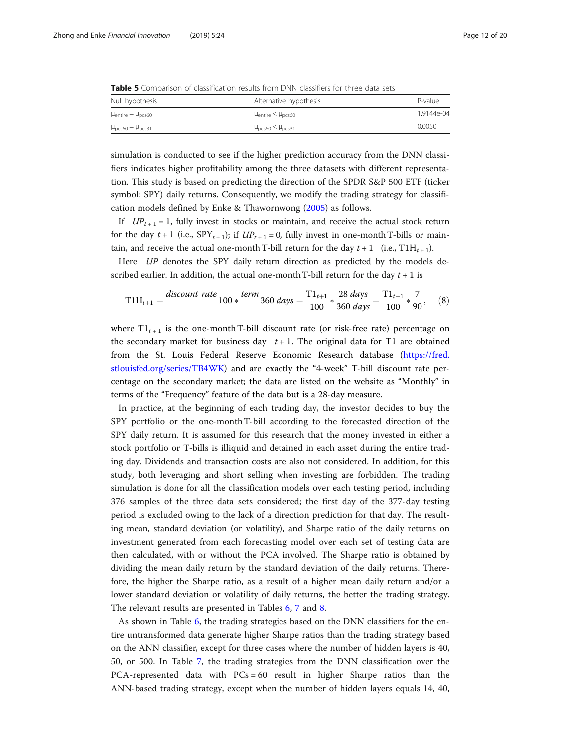<span id="page-11-0"></span>Table 5 Comparison of classification results from DNN classifiers for three data sets

| Null hypothesis                           | Alternative hypothesis                            | P-value    |
|-------------------------------------------|---------------------------------------------------|------------|
| $\mu_{entire} = \mu_{pcs60}$              | $\mu_{\text{entire}}$ $<$ $\mu_{\text{pcs60}}$    | 1.9144e-04 |
| $\mu_{\text{pcs60}} = \mu_{\text{pcs31}}$ | $\mu$ <sub>DCS60</sub> $<$ $\mu$ <sub>DCS31</sub> | 0.0050     |

simulation is conducted to see if the higher prediction accuracy from the DNN classifiers indicates higher profitability among the three datasets with different representation. This study is based on predicting the direction of the SPDR S&P 500 ETF (ticker symbol: SPY) daily returns. Consequently, we modify the trading strategy for classification models defined by Enke & Thawornwong [\(2005](#page-19-0)) as follows.

If  $UP_{t+1} = 1$ , fully invest in stocks or maintain, and receive the actual stock return for the day  $t + 1$  (i.e.,  $SPY_{t+1}$ ); if  $UP_{t+1} = 0$ , fully invest in one-month T-bills or maintain, and receive the actual one-month T-bill return for the day  $t + 1$  (i.e., T1H<sub>t+1</sub>).

Here *UP* denotes the SPY daily return direction as predicted by the models described earlier. In addition, the actual one-month T-bill return for the day  $t + 1$  is

$$
T1H_{t+1} = \frac{discount\ rate}{100} \cdot \frac{term}{360\ days} = \frac{T1_{t+1}}{100} \cdot \frac{28\ days}{360\ days} = \frac{T1_{t+1}}{100} \cdot \frac{7}{90},\tag{8}
$$

where  $TI_{t+1}$  is the one-month T-bill discount rate (or risk-free rate) percentage on the secondary market for business day  $t + 1$ . The original data for T1 are obtained from the St. Louis Federal Reserve Economic Research database [\(https://fred.](https://fred.stlouisfed.org/series/TB4WK) [stlouisfed.org/series/TB4WK](https://fred.stlouisfed.org/series/TB4WK)) and are exactly the "4-week" T-bill discount rate percentage on the secondary market; the data are listed on the website as "Monthly" in terms of the "Frequency" feature of the data but is a 28-day measure.

In practice, at the beginning of each trading day, the investor decides to buy the SPY portfolio or the one-month T-bill according to the forecasted direction of the SPY daily return. It is assumed for this research that the money invested in either a stock portfolio or T-bills is illiquid and detained in each asset during the entire trading day. Dividends and transaction costs are also not considered. In addition, for this study, both leveraging and short selling when investing are forbidden. The trading simulation is done for all the classification models over each testing period, including 376 samples of the three data sets considered; the first day of the 377-day testing period is excluded owing to the lack of a direction prediction for that day. The resulting mean, standard deviation (or volatility), and Sharpe ratio of the daily returns on investment generated from each forecasting model over each set of testing data are then calculated, with or without the PCA involved. The Sharpe ratio is obtained by dividing the mean daily return by the standard deviation of the daily returns. Therefore, the higher the Sharpe ratio, as a result of a higher mean daily return and/or a lower standard deviation or volatility of daily returns, the better the trading strategy. The relevant results are presented in Tables [6](#page-12-0), [7](#page-13-0) and [8.](#page-14-0)

As shown in Table [6,](#page-12-0) the trading strategies based on the DNN classifiers for the entire untransformed data generate higher Sharpe ratios than the trading strategy based on the ANN classifier, except for three cases where the number of hidden layers is 40, 50, or 500. In Table [7](#page-13-0), the trading strategies from the DNN classification over the  $PCA-represented$  data with  $PCs = 60$  result in higher Sharpe ratios than the ANN-based trading strategy, except when the number of hidden layers equals 14, 40,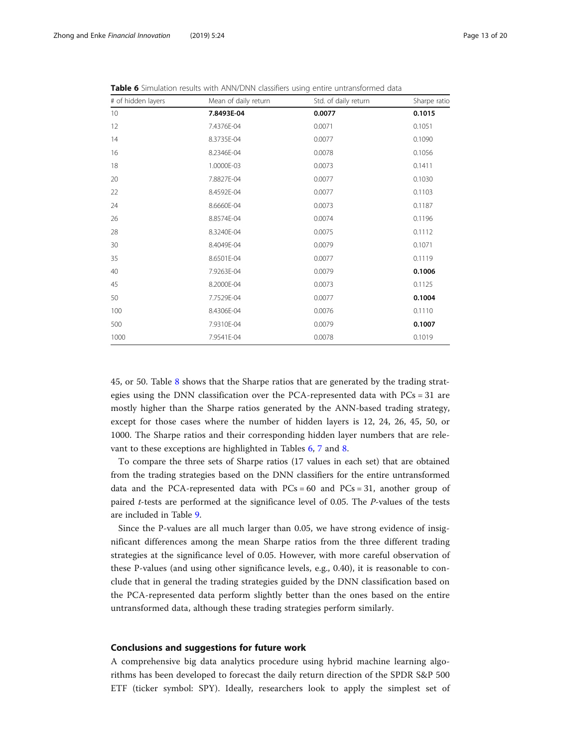| # of hidden layers | Mean of daily return | Std. of daily return | Sharpe ratio |
|--------------------|----------------------|----------------------|--------------|
| 10                 | 7.8493E-04           | 0.0077               | 0.1015       |
| 12                 | 7.4376E-04           | 0.0071               | 0.1051       |
| 14                 | 8.3735E-04           | 0.0077               | 0.1090       |
| 16                 | 8.2346E-04           | 0.0078               | 0.1056       |
| 18                 | 1.0000E-03           | 0.0073               | 0.1411       |
| 20                 | 7.8827E-04           | 0.0077               | 0.1030       |
| 22                 | 8.4592E-04           | 0.0077               | 0.1103       |
| 24                 | 8.6660E-04           | 0.0073               | 0.1187       |
| 26                 | 8.8574E-04           | 0.0074               | 0.1196       |
| 28                 | 8.3240E-04           | 0.0075               | 0.1112       |
| 30                 | 8.4049E-04           | 0.0079               | 0.1071       |
| 35                 | 8.6501E-04           | 0.0077               | 0.1119       |
| 40                 | 7.9263E-04           | 0.0079               | 0.1006       |
| 45                 | 8.2000E-04           | 0.0073               | 0.1125       |
| 50                 | 7.7529E-04           | 0.0077               | 0.1004       |
| 100                | 8.4306E-04           | 0.0076               | 0.1110       |
| 500                | 7.9310E-04           | 0.0079               | 0.1007       |
| 1000               | 7.9541E-04           | 0.0078               | 0.1019       |

<span id="page-12-0"></span>Table 6 Simulation results with ANN/DNN classifiers using entire untransformed data

45, or 50. Table [8](#page-14-0) shows that the Sharpe ratios that are generated by the trading strategies using the DNN classification over the PCA-represented data with PCs = 31 are mostly higher than the Sharpe ratios generated by the ANN-based trading strategy, except for those cases where the number of hidden layers is 12, 24, 26, 45, 50, or 1000. The Sharpe ratios and their corresponding hidden layer numbers that are relevant to these exceptions are highlighted in Tables 6, [7](#page-13-0) and [8.](#page-14-0)

To compare the three sets of Sharpe ratios (17 values in each set) that are obtained from the trading strategies based on the DNN classifiers for the entire untransformed data and the PCA-represented data with  $PCs = 60$  and  $PCs = 31$ , another group of paired t-tests are performed at the significance level of 0.05. The P-values of the tests are included in Table [9.](#page-14-0)

Since the P-values are all much larger than 0.05, we have strong evidence of insignificant differences among the mean Sharpe ratios from the three different trading strategies at the significance level of 0.05. However, with more careful observation of these P-values (and using other significance levels, e.g., 0.40), it is reasonable to conclude that in general the trading strategies guided by the DNN classification based on the PCA-represented data perform slightly better than the ones based on the entire untransformed data, although these trading strategies perform similarly.

#### Conclusions and suggestions for future work

A comprehensive big data analytics procedure using hybrid machine learning algorithms has been developed to forecast the daily return direction of the SPDR S&P 500 ETF (ticker symbol: SPY). Ideally, researchers look to apply the simplest set of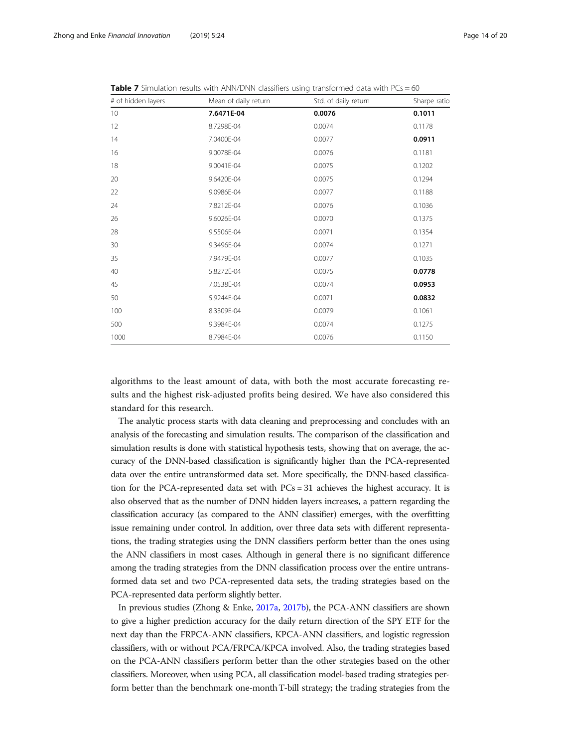| # of hidden layers | Mean of daily return | Std. of daily return | Sharpe ratio |
|--------------------|----------------------|----------------------|--------------|
| 10                 | 7.6471E-04           | 0.0076               | 0.1011       |
| 12                 | 8.7298E-04           | 0.0074               | 0.1178       |
| 14                 | 7.0400E-04           | 0.0077               | 0.0911       |
| 16                 | 9.0078E-04           | 0.0076               | 0.1181       |
| 18                 | 9.0041E-04           | 0.0075               | 0.1202       |
| 20                 | 9.6420E-04           | 0.0075               | 0.1294       |
| 22                 | 9.0986E-04           | 0.0077               | 0.1188       |
| 24                 | 7.8212E-04           | 0.0076               | 0.1036       |
| 26                 | 9.6026E-04           | 0.0070               | 0.1375       |
| 28                 | 9.5506E-04           | 0.0071               | 0.1354       |
| 30                 | 9.3496E-04           | 0.0074               | 0.1271       |
| 35                 | 7.9479E-04           | 0.0077               | 0.1035       |
| 40                 | 5.8272E-04           | 0.0075               | 0.0778       |
| 45                 | 7.0538E-04           | 0.0074               | 0.0953       |
| 50                 | 5.9244E-04           | 0.0071               | 0.0832       |
| 100                | 8.3309E-04           | 0.0079               | 0.1061       |
| 500                | 9.3984E-04           | 0.0074               | 0.1275       |
| 1000               | 8.7984E-04           | 0.0076               | 0.1150       |

<span id="page-13-0"></span>**Table 7** Simulation results with ANN/DNN classifiers using transformed data with  $PCs = 60$ 

algorithms to the least amount of data, with both the most accurate forecasting results and the highest risk-adjusted profits being desired. We have also considered this standard for this research.

The analytic process starts with data cleaning and preprocessing and concludes with an analysis of the forecasting and simulation results. The comparison of the classification and simulation results is done with statistical hypothesis tests, showing that on average, the accuracy of the DNN-based classification is significantly higher than the PCA-represented data over the entire untransformed data set. More specifically, the DNN-based classification for the PCA-represented data set with PCs = 31 achieves the highest accuracy. It is also observed that as the number of DNN hidden layers increases, a pattern regarding the classification accuracy (as compared to the ANN classifier) emerges, with the overfitting issue remaining under control. In addition, over three data sets with different representations, the trading strategies using the DNN classifiers perform better than the ones using the ANN classifiers in most cases. Although in general there is no significant difference among the trading strategies from the DNN classification process over the entire untransformed data set and two PCA-represented data sets, the trading strategies based on the PCA-represented data perform slightly better.

In previous studies (Zhong & Enke, [2017a](#page-19-0), [2017b\)](#page-19-0), the PCA-ANN classifiers are shown to give a higher prediction accuracy for the daily return direction of the SPY ETF for the next day than the FRPCA-ANN classifiers, KPCA-ANN classifiers, and logistic regression classifiers, with or without PCA/FRPCA/KPCA involved. Also, the trading strategies based on the PCA-ANN classifiers perform better than the other strategies based on the other classifiers. Moreover, when using PCA, all classification model-based trading strategies perform better than the benchmark one-monthT-bill strategy; the trading strategies from the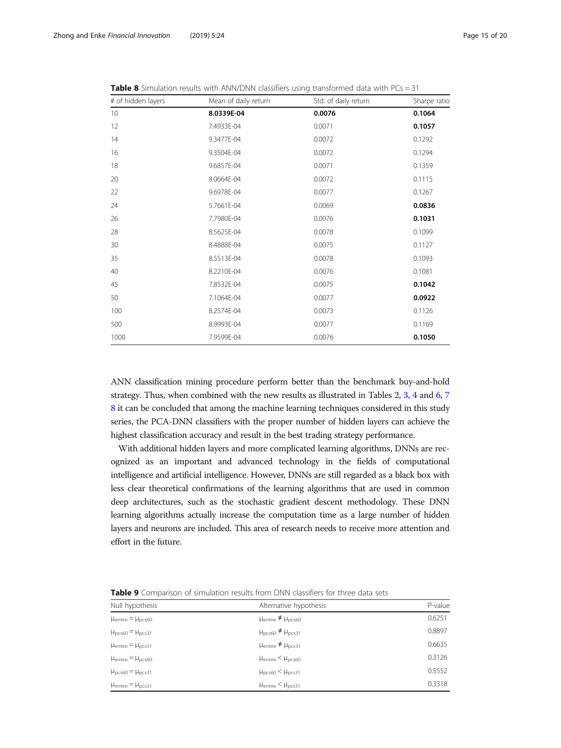| # of hidden layers | Mean of daily return | Std. of daily return | Sharpe ratio |
|--------------------|----------------------|----------------------|--------------|
| 10                 | 8.0339E-04           | 0.0076               | 0.1064       |
| 12                 | 7.4933E-04           | 0.0071               | 0.1057       |
| 14                 | 9.3477E-04           | 0.0072               | 0.1292       |
| 16                 | 9.3504E-04           | 0.0072               | 0.1294       |
| 18                 | 9.6857E-04           | 0.0071               | 0.1359       |
| 20                 | 8.0664E-04           | 0.0072               | 0.1115       |
| 22                 | 9.6978E-04           | 0.0077               | 0.1267       |
| 24                 | 5.7661E-04           | 0.0069               | 0.0836       |
| 26                 | 7.7980E-04           | 0.0076               | 0.1031       |
| 28                 | 8.5625E-04           | 0.0078               | 0.1099       |
| 30                 | 8.4888E-04           | 0.0075               | 0.1127       |
| 35                 | 8.5513E-04           | 0.0078               | 0.1093       |
| 40                 | 8.2210E-04           | 0.0076               | 0.1081       |
| 45                 | 7.8532E-04           | 0.0075               | 0.1042       |
| 50                 | 7.1064E-04           | 0.0077               | 0.0922       |
| 100                | 8.2574E-04           | 0.0073               | 0.1126       |
| 500                | 8.9993E-04           | 0.0077               | 0.1169       |
| 1000               | 7.9599E-04           | 0.0076               | 0.1050       |

<span id="page-14-0"></span>**Table 8** Simulation results with ANN/DNN classifiers using transformed data with PCs = 31

ANN classification mining procedure perform better than the benchmark buy-and-hold strategy. Thus, when combined with the new results as illustrated in Tables [2,](#page-9-0) [3](#page-10-0), [4](#page-10-0) and [6,](#page-12-0) [7](#page-13-0) 8 it can be concluded that among the machine learning techniques considered in this study series, the PCA-DNN classifiers with the proper number of hidden layers can achieve the highest classification accuracy and result in the best trading strategy performance.

With additional hidden layers and more complicated learning algorithms, DNNs are recognized as an important and advanced technology in the fields of computational intelligence and artificial intelligence. However, DNNs are still regarded as a black box with less clear theoretical confirmations of the learning algorithms that are used in common deep architectures, such as the stochastic gradient descent methodology. These DNN learning algorithms actually increase the computation time as a large number of hidden layers and neurons are included. This area of research needs to receive more attention and effort in the future.

Table 9 Comparison of simulation results from DNN classifiers for three data sets

| Null hypothesis                           | Alternative hypothesis                       | P-value |
|-------------------------------------------|----------------------------------------------|---------|
| $\mu_{entire} = \mu_{pc560}$              | $\mu_{entire} \neq \mu_{pc560}$              | 0.6251  |
| $\mu_{\text{pcs60}} = \mu_{\text{pcs31}}$ | $\mu_{\text{pcs60}} \neq \mu_{\text{pcs31}}$ | 0.8897  |
| $\mu_{entire} = \mu_{pcs31}$              | $\mu_{entire} \neq \mu_{DCs31}$              | 0.6635  |
| $\mu_{entire} = \mu_{pc560}$              | $\mu_{entire}$ < $\mu_{pc560}$               | 0.3126  |
| $\mu_{\text{pcs60}} = \mu_{\text{pcs31}}$ | $\mu_{pc560}$ < $\mu_{pc531}$                | 0.5552  |
| $\mu_{entire} = \mu_{pcs31}$              | $\mu_{entire}$ $<$ $\mu_{pcs31}$             | 0.3318  |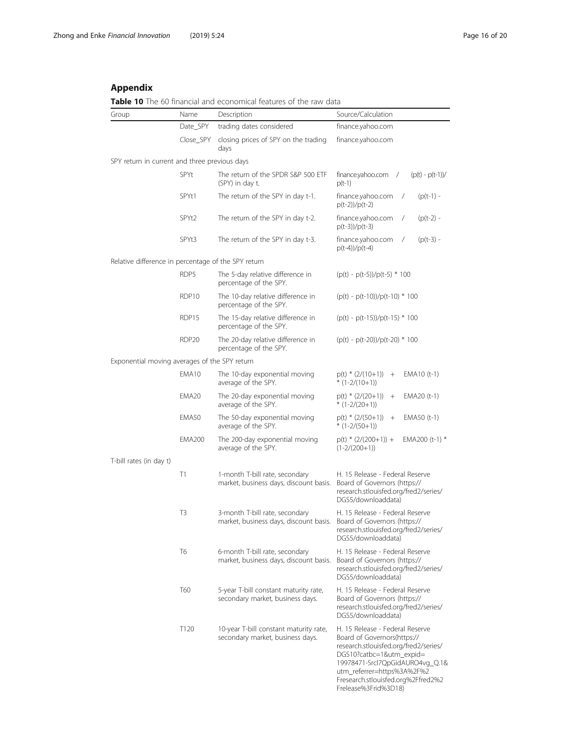# <span id="page-15-0"></span>Appendix

Table 10 The 60 financial and economical features of the raw data

| Group                                               | Name              | Description                                                                                           | Source/Calculation                                                                                                                                                                                                                                                 |
|-----------------------------------------------------|-------------------|-------------------------------------------------------------------------------------------------------|--------------------------------------------------------------------------------------------------------------------------------------------------------------------------------------------------------------------------------------------------------------------|
|                                                     | Date_SPY          | trading dates considered                                                                              | finance.yahoo.com                                                                                                                                                                                                                                                  |
|                                                     | Close_SPY         | closing prices of SPY on the trading<br>days                                                          | finance.yahoo.com                                                                                                                                                                                                                                                  |
| SPY return in current and three previous days       |                   |                                                                                                       |                                                                                                                                                                                                                                                                    |
|                                                     | SPYt              | The return of the SPDR S&P 500 ETF<br>(SPY) in day t.                                                 | finance.yahoo.com<br>$(p(t) - p(t-1))/$<br>$\sqrt{2}$<br>$p(t-1)$                                                                                                                                                                                                  |
|                                                     | SPYt1             | The return of the SPY in day t-1.                                                                     | finance.yahoo.com<br>$(p(t-1) -$<br>$\overline{\phantom{a}}$<br>$p(t-2))/p(t-2)$                                                                                                                                                                                   |
|                                                     | SPY <sub>t2</sub> | The return of the SPY in day t-2.                                                                     | finance.yahoo.com<br>$(p(t-2) -$<br>$\overline{1}$<br>$p(t-3))/p(t-3)$                                                                                                                                                                                             |
|                                                     | SPYt3             | The return of the SPY in day t-3.                                                                     | finance.yahoo.com<br>$(p(t-3) -$<br>$\sqrt{2}$<br>$p(t-4)/p(t-4)$                                                                                                                                                                                                  |
| Relative difference in percentage of the SPY return |                   |                                                                                                       |                                                                                                                                                                                                                                                                    |
|                                                     | RDP5              | The 5-day relative difference in<br>percentage of the SPY.                                            | $(p(t) - p(t-5))/p(t-5) * 100$                                                                                                                                                                                                                                     |
|                                                     | RDP <sub>10</sub> | The 10-day relative difference in<br>percentage of the SPY.                                           | $(p(t) - p(t-10))/p(t-10) * 100$                                                                                                                                                                                                                                   |
|                                                     | RDP15             | The 15-day relative difference in<br>percentage of the SPY.                                           | $(p(t) - p(t-15))/p(t-15) * 100$                                                                                                                                                                                                                                   |
|                                                     | RDP <sub>20</sub> | The 20-day relative difference in<br>percentage of the SPY.                                           | $(p(t) - p(t-20))/p(t-20) * 100$                                                                                                                                                                                                                                   |
| Exponential moving averages of the SPY return       |                   |                                                                                                       |                                                                                                                                                                                                                                                                    |
|                                                     | EMA10             | The 10-day exponential moving<br>average of the SPY.                                                  | $p(t) * (2/(10+1)) +$<br>$EMA10$ (t-1)<br>$*(1-2/(10+1))$                                                                                                                                                                                                          |
|                                                     | EMA <sub>20</sub> | The 20-day exponential moving<br>average of the SPY.                                                  | $p(t) * (2/(20+1))$<br>$EMA20$ (t-1)<br>$+$<br>$*(1-2/(20+1))$                                                                                                                                                                                                     |
|                                                     | EMA50             | The 50-day exponential moving<br>average of the SPY.                                                  | $p(t) * (2/(50+1)) +$<br>EMA50 $(t-1)$<br>$*(1-2/(50+1))$                                                                                                                                                                                                          |
|                                                     | <b>EMA200</b>     | The 200-day exponential moving<br>average of the SPY.                                                 | $p(t) * (2/(200+1)) +$<br>EMA200 (t-1) *<br>$(1-2/(200+1))$                                                                                                                                                                                                        |
| T-bill rates (in day t)                             |                   |                                                                                                       |                                                                                                                                                                                                                                                                    |
|                                                     | T1                | 1-month T-bill rate, secondary<br>market, business days, discount basis.                              | H. 15 Release - Federal Reserve<br>Board of Governors (https://<br>research.stlouisfed.org/fred2/series/<br>DGS5/downloaddata)                                                                                                                                     |
|                                                     | T3                | 3-month T-bill rate, secondary<br>market, business days, discount basis. Board of Governors (https:// | H. 15 Release - Federal Reserve<br>research.stlouisfed.org/fred2/series/<br>DGS5/downloaddata)                                                                                                                                                                     |
|                                                     | T6                | 6-month T-bill rate, secondary<br>market, business days, discount basis.                              | H. 15 Release - Federal Reserve<br>Board of Governors (https://<br>research.stlouisfed.org/fred2/series/<br>DGS5/downloaddata)                                                                                                                                     |
|                                                     | T60               | 5-year T-bill constant maturity rate,<br>secondary market, business days.                             | H. 15 Release - Federal Reserve<br>Board of Governors (https://<br>research.stlouisfed.org/fred2/series/<br>DGS5/downloaddata)                                                                                                                                     |
|                                                     | T120              | 10-year T-bill constant maturity rate,<br>secondary market, business days.                            | H. 15 Release - Federal Reserve<br>Board of Governors(https://<br>research.stlouisfed.org/fred2/series/<br>DGS10?catbc=1&utm_expid=<br>19978471-Srcl7QpGidAURO4vg_Q.1&<br>utm_referrer=https%3A%2F%2<br>Fresearch.stlouisfed.org%2Ffred2%2<br>Frelease%3Frid%3D18) |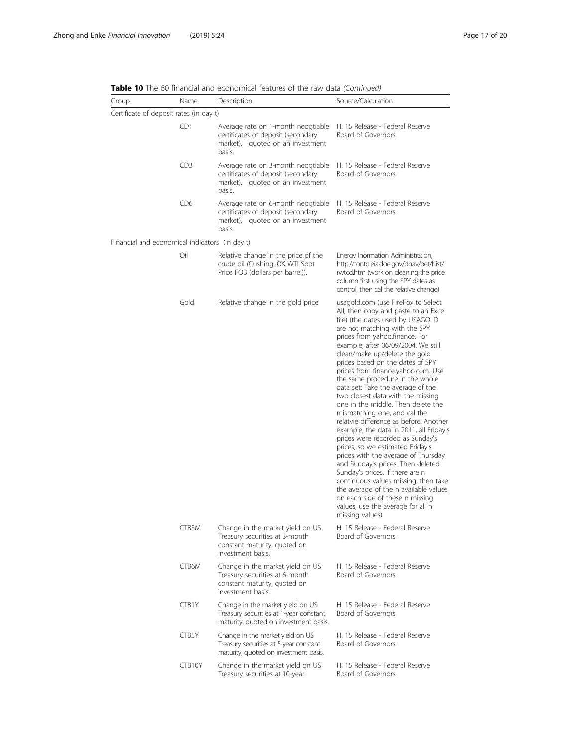|                                                | Name            | <b>Table 10</b> The 60 financial and economical features of the raw data (Continued)                                    | Source/Calculation                                                                                                                                                                                                                                                                                                                                                                                                                                                                                                                                                                                                                                                                                                                                                                                                                                                                                                                                                             |
|------------------------------------------------|-----------------|-------------------------------------------------------------------------------------------------------------------------|--------------------------------------------------------------------------------------------------------------------------------------------------------------------------------------------------------------------------------------------------------------------------------------------------------------------------------------------------------------------------------------------------------------------------------------------------------------------------------------------------------------------------------------------------------------------------------------------------------------------------------------------------------------------------------------------------------------------------------------------------------------------------------------------------------------------------------------------------------------------------------------------------------------------------------------------------------------------------------|
| Group                                          |                 | Description                                                                                                             |                                                                                                                                                                                                                                                                                                                                                                                                                                                                                                                                                                                                                                                                                                                                                                                                                                                                                                                                                                                |
| Certificate of deposit rates (in day t)        | CD1             | Average rate on 1-month neogtiable<br>certificates of deposit (secondary<br>market), quoted on an investment<br>basis.  | H. 15 Release - Federal Reserve<br>Board of Governors                                                                                                                                                                                                                                                                                                                                                                                                                                                                                                                                                                                                                                                                                                                                                                                                                                                                                                                          |
|                                                | CD <sub>3</sub> | Average rate on 3-month neogtiable<br>certificates of deposit (secondary<br>market), quoted on an investment<br>basis.  | H. 15 Release - Federal Reserve<br>Board of Governors                                                                                                                                                                                                                                                                                                                                                                                                                                                                                                                                                                                                                                                                                                                                                                                                                                                                                                                          |
|                                                | CD <sub>6</sub> | Average rate on 6-month neogtiable<br>certificates of deposit (secondary<br>market), quoted on an investment<br>basis.  | H. 15 Release - Federal Reserve<br>Board of Governors                                                                                                                                                                                                                                                                                                                                                                                                                                                                                                                                                                                                                                                                                                                                                                                                                                                                                                                          |
| Financial and economical indicators (in day t) |                 |                                                                                                                         |                                                                                                                                                                                                                                                                                                                                                                                                                                                                                                                                                                                                                                                                                                                                                                                                                                                                                                                                                                                |
|                                                | Oil             | Relative change in the price of the<br>crude oil (Cushing, OK WTI Spot<br>Price FOB (dollars per barrel)).              | Energy Inormation Administration,<br>http://tonto.eia.doe.gov/dnav/pet/hist/<br>rwtcd.htm (work on cleaning the price<br>column first using the SPY dates as<br>control, then cal the relative change)                                                                                                                                                                                                                                                                                                                                                                                                                                                                                                                                                                                                                                                                                                                                                                         |
|                                                | Gold            | Relative change in the gold price                                                                                       | usagold.com (use FireFox to Select<br>All, then copy and paste to an Excel<br>file) (the dates used by USAGOLD<br>are not matching with the SPY<br>prices from yahoo.finance. For<br>example, after 06/09/2004. We still<br>clean/make up/delete the gold<br>prices based on the dates of SPY<br>prices from finance.yahoo.com. Use<br>the same procedure in the whole<br>data set: Take the average of the<br>two closest data with the missing<br>one in the middle. Then delete the<br>mismatching one, and cal the<br>relatvie difference as before. Another<br>example, the data in 2011, all Friday's<br>prices were recorded as Sunday's<br>prices, so we estimated Friday's<br>prices with the average of Thursday<br>and Sunday's prices. Then deleted<br>Sunday's prices. If there are n<br>continuous values missing, then take<br>the average of the n available values<br>on each side of these n missing<br>values, use the average for all n<br>missing values) |
|                                                | CTB3M           | Change in the market yield on US<br>Treasury securities at 3-month<br>constant maturity, quoted on<br>investment basis. | H. 15 Release - Federal Reserve<br>Board of Governors                                                                                                                                                                                                                                                                                                                                                                                                                                                                                                                                                                                                                                                                                                                                                                                                                                                                                                                          |
|                                                | CTB6M           | Change in the market yield on US<br>Treasury securities at 6-month<br>constant maturity, quoted on<br>investment basis. | H. 15 Release - Federal Reserve<br><b>Board of Governors</b>                                                                                                                                                                                                                                                                                                                                                                                                                                                                                                                                                                                                                                                                                                                                                                                                                                                                                                                   |
|                                                | CTB1Y           | Change in the market yield on US<br>Treasury securities at 1-year constant<br>maturity, quoted on investment basis.     | H. 15 Release - Federal Reserve<br><b>Board of Governors</b>                                                                                                                                                                                                                                                                                                                                                                                                                                                                                                                                                                                                                                                                                                                                                                                                                                                                                                                   |
|                                                | CTB5Y           | Change in the market yield on US<br>Treasury securities at 5-year constant<br>maturity, quoted on investment basis.     | H. 15 Release - Federal Reserve<br>Board of Governors                                                                                                                                                                                                                                                                                                                                                                                                                                                                                                                                                                                                                                                                                                                                                                                                                                                                                                                          |
|                                                | CTB10Y          | Change in the market yield on US<br>Treasury securities at 10-year                                                      | H. 15 Release - Federal Reserve<br>Board of Governors                                                                                                                                                                                                                                                                                                                                                                                                                                                                                                                                                                                                                                                                                                                                                                                                                                                                                                                          |

|  |  |  | <b>Table 10</b> The 60 financial and economical features of the raw data <i>(Continued)</i> |  |  |  |
|--|--|--|---------------------------------------------------------------------------------------------|--|--|--|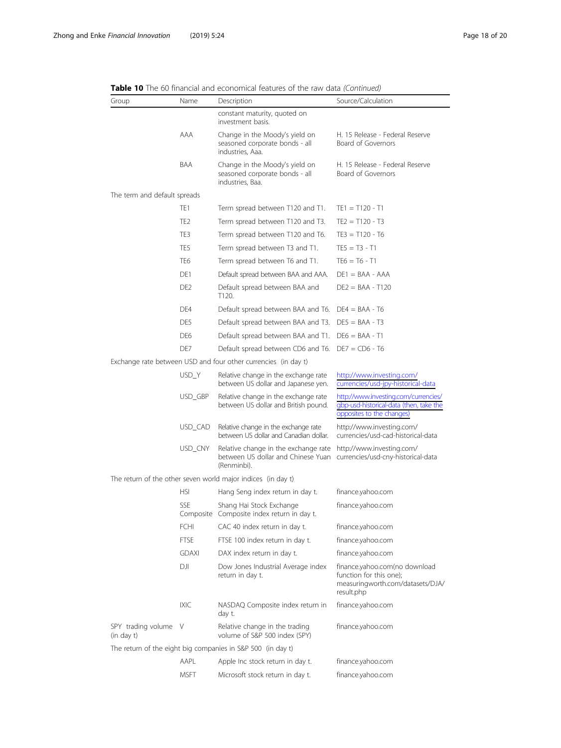| Group                            | Name            | Description                                                                               | Source/Calculation                                                                                           |
|----------------------------------|-----------------|-------------------------------------------------------------------------------------------|--------------------------------------------------------------------------------------------------------------|
|                                  |                 | constant maturity, quoted on<br>investment basis.                                         |                                                                                                              |
|                                  | AAA             | Change in the Moody's yield on<br>seasoned corporate bonds - all<br>industries, Aaa.      | H. 15 Release - Federal Reserve<br>Board of Governors                                                        |
|                                  | BAA             | Change in the Moody's yield on<br>seasoned corporate bonds - all<br>industries, Baa.      | H. 15 Release - Federal Reserve<br>Board of Governors                                                        |
| The term and default spreads     |                 |                                                                                           |                                                                                                              |
|                                  | TE1             | Term spread between T120 and T1.                                                          | $TE1 = T120 - T1$                                                                                            |
|                                  | TE <sub>2</sub> | Term spread between T120 and T3.                                                          | $TE2 = T120 - T3$                                                                                            |
|                                  | TE3             | Term spread between T120 and T6.                                                          | $TE3 = T120 - T6$                                                                                            |
|                                  | TE <sub>5</sub> | Term spread between T3 and T1.                                                            | $TE5 = T3 - T1$                                                                                              |
|                                  | TE6             | Term spread between T6 and T1.                                                            | $TE6 = T6 - T1$                                                                                              |
|                                  | DE <sub>1</sub> | Default spread between BAA and AAA.                                                       | $DE1 = BAA - AAA$                                                                                            |
|                                  | DE <sub>2</sub> | Default spread between BAA and<br>T <sub>120</sub> .                                      | $DE2 = BAA - T120$                                                                                           |
|                                  | DE4             | Default spread between BAA and T6.                                                        | $DE4 = BAA - T6$                                                                                             |
|                                  | DE5             | Default spread between BAA and T3.                                                        | $DE5 = BAA - T3$                                                                                             |
|                                  | DE <sub>6</sub> | Default spread between BAA and T1.                                                        | $DE6 = BAA - T1$                                                                                             |
|                                  | DE7             | Default spread between CD6 and T6.                                                        | $DE7 = CD6 - T6$                                                                                             |
|                                  |                 | Exchange rate between USD and four other currencies (in day t)                            |                                                                                                              |
|                                  | USD_Y           | Relative change in the exchange rate<br>between US dollar and Japanese yen.               | http://www.investing.com/<br>currencies/usd-jpy-historical-data                                              |
|                                  | USD_GBP         | Relative change in the exchange rate<br>between US dollar and British pound.              | http://www.investing.com/currencies/<br>gbp-usd-historical-data (then, take the<br>opposites to the changes) |
|                                  | USD_CAD         | Relative change in the exchange rate<br>between US dollar and Canadian dollar.            | http://www.investing.com/<br>currencies/usd-cad-historical-data                                              |
|                                  | USD_CNY         | Relative change in the exchange rate<br>between US dollar and Chinese Yuan<br>(Renminbi). | http://www.investing.com/<br>currencies/usd-cny-historical-data                                              |
|                                  |                 | The return of the other seven world major indices (in day t)                              |                                                                                                              |
|                                  | <b>HSI</b>      | Hang Seng index return in day t.                                                          | finance.yahoo.com                                                                                            |
|                                  | <b>SSE</b>      | Shang Hai Stock Exchange<br>Composite Composite index return in day t.                    | finance.yahoo.com                                                                                            |
|                                  | <b>FCHI</b>     | CAC 40 index return in day t.                                                             | finance.yahoo.com                                                                                            |
|                                  | <b>FTSE</b>     | FTSE 100 index return in day t.                                                           | finance.yahoo.com                                                                                            |
|                                  | <b>GDAXI</b>    | DAX index return in day t.                                                                | finance.yahoo.com                                                                                            |
|                                  | DЛ              | Dow Jones Industrial Average index<br>return in day t.                                    | finance.yahoo.com(no download<br>function for this one);<br>measuringworth.com/datasets/DJA/<br>result.php   |
|                                  | IXIC            | NASDAQ Composite index return in<br>day t.                                                | finance.yahoo.com                                                                                            |
| SPY trading volume<br>(in day t) | - V             | Relative change in the trading<br>volume of S&P 500 index (SPY)                           | finance.yahoo.com                                                                                            |
|                                  |                 | The return of the eight big companies in S&P 500 (in day t)                               |                                                                                                              |
|                                  | AAPL            | Apple Inc stock return in day t.                                                          | finance.yahoo.com                                                                                            |
|                                  | <b>MSFT</b>     | Microsoft stock return in day t.                                                          | finance.yahoo.com                                                                                            |

Table 10 The 60 financial and economical features of the raw data (Continued)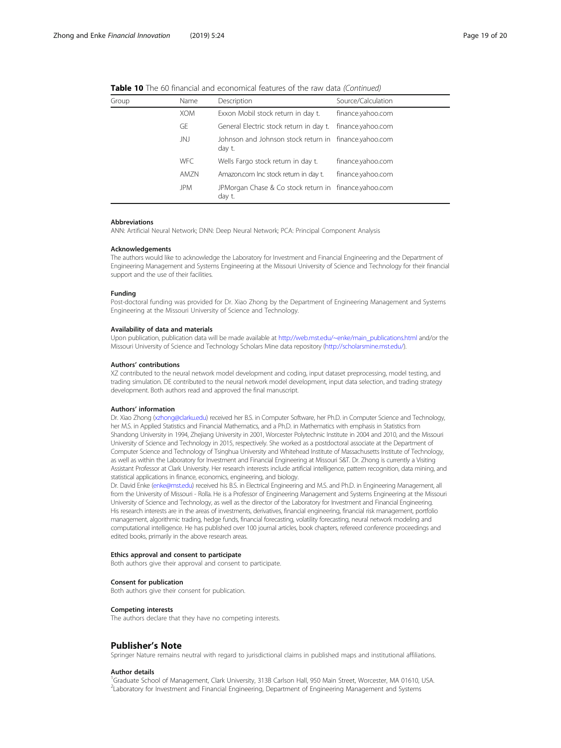| <b>Table 10</b> The 60 financial and economical features of the raw data (Continued) |  |  |  |  |
|--------------------------------------------------------------------------------------|--|--|--|--|
|--------------------------------------------------------------------------------------|--|--|--|--|

| Group | Name       | Description                                                     | Source/Calculation |
|-------|------------|-----------------------------------------------------------------|--------------------|
|       | <b>XOM</b> | Exxon Mobil stock return in day t.                              | finance.yahoo.com  |
|       | GE         | General Electric stock return in day t.                         | finance.yahoo.com  |
|       | JNJ        | Johnson and Johnson stock return in finance.yahoo.com<br>day t. |                    |
|       | <b>WFC</b> | Wells Fargo stock return in day t.                              | finance.yahoo.com  |
|       | AMZN       | Amazon.com Inc stock return in day t.                           | finance.yahoo.com  |
|       | <b>JPM</b> | JPMorgan Chase & Co stock return in finance.yahoo.com<br>day t. |                    |

#### Abbreviations

ANN: Artificial Neural Network; DNN: Deep Neural Network; PCA: Principal Component Analysis

#### Acknowledgements

The authors would like to acknowledge the Laboratory for Investment and Financial Engineering and the Department of Engineering Management and Systems Engineering at the Missouri University of Science and Technology for their financial support and the use of their facilities.

#### Funding

Post-doctoral funding was provided for Dr. Xiao Zhong by the Department of Engineering Management and Systems Engineering at the Missouri University of Science and Technology.

#### Availability of data and materials

Upon publication, publication data will be made available at [http://web.mst.edu/~enke/main\\_publications.html](http://web.mst.edu/~enke/main_publications.html) and/or the Missouri University of Science and Technology Scholars Mine data repository [\(http://scholarsmine.mst.edu/\)](http://scholarsmine.mst.edu/).

#### Authors' contributions

XZ contributed to the neural network model development and coding, input dataset preprocessing, model testing, and trading simulation. DE contributed to the neural network model development, input data selection, and trading strategy development. Both authors read and approved the final manuscript.

#### Authors' information

Dr. Xiao Zhong [\(xzhong@clarku.edu](mailto:xzhong@clarku.edu)) received her B.S. in Computer Software, her Ph.D. in Computer Science and Technology, her M.S. in Applied Statistics and Financial Mathematics, and a Ph.D. in Mathematics with emphasis in Statistics from Shandong University in 1994, Zhejiang University in 2001, Worcester Polytechnic Institute in 2004 and 2010, and the Missouri University of Science and Technology in 2015, respectively. She worked as a postdoctoral associate at the Department of Computer Science and Technology of Tsinghua University and Whitehead Institute of Massachusetts Institute of Technology, as well as within the Laboratory for Investment and Financial Engineering at Missouri S&T. Dr. Zhong is currently a Visiting Assistant Professor at Clark University. Her research interests include artificial intelligence, pattern recognition, data mining, and statistical applications in finance, economics, engineering, and biology.

Dr. David Enke [\(enke@mst.edu](mailto:enke@mst.edu)) received his B.S. in Electrical Engineering and M.S. and Ph.D. in Engineering Management, all from the University of Missouri - Rolla. He is a Professor of Engineering Management and Systems Engineering at the Missouri University of Science and Technology, as well as the director of the Laboratory for Investment and Financial Engineering. His research interests are in the areas of investments, derivatives, financial engineering, financial risk management, portfolio management, algorithmic trading, hedge funds, financial forecasting, volatility forecasting, neural network modeling and computational intelligence. He has published over 100 journal articles, book chapters, refereed conference proceedings and edited books, primarily in the above research areas.

#### Ethics approval and consent to participate

Both authors give their approval and consent to participate.

#### Consent for publication

Both authors give their consent for publication.

#### Competing interests

The authors declare that they have no competing interests.

#### Publisher's Note

Springer Nature remains neutral with regard to jurisdictional claims in published maps and institutional affiliations.

#### Author details

<sup>1</sup>Graduate School of Management, Clark University, 313B Carlson Hall, 950 Main Street, Worcester, MA 01610, USA. 2 Laboratory for Investment and Financial Engineering, Department of Engineering Management and Systems